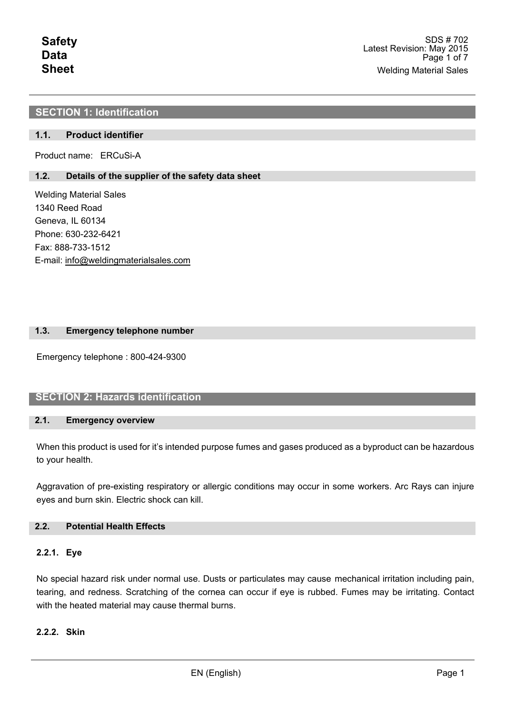# **SECTION 1: Identification**

## **1.1. Product identifier**

Product name: ERCuSi-A

## **1.2. Details of the supplier of the safety data sheet**

Welding Material Sales 1340 Reed Road Geneva, IL 60134 Phone: 630-232-6421 Fax: 888-733-1512 E-mail: info@weldingmaterialsales.com

### **1.3. Emergency telephone number**

Emergency telephone : 800-424-9300

## **SECTION 2: Hazards identification**

#### **2.1. Emergency overview**

When this product is used for it's intended purpose fumes and gases produced as a byproduct can be hazardous to your health.

Aggravation of pre-existing respiratory or allergic conditions may occur in some workers. Arc Rays can injure eyes and burn skin. Electric shock can kill.

## **2.2. Potential Health Effects**

## **2.2.1. Eye**

No special hazard risk under normal use. Dusts or particulates may cause mechanical irritation including pain, tearing, and redness. Scratching of the cornea can occur if eye is rubbed. Fumes may be irritating. Contact with the heated material may cause thermal burns.

## **2.2.2. Skin**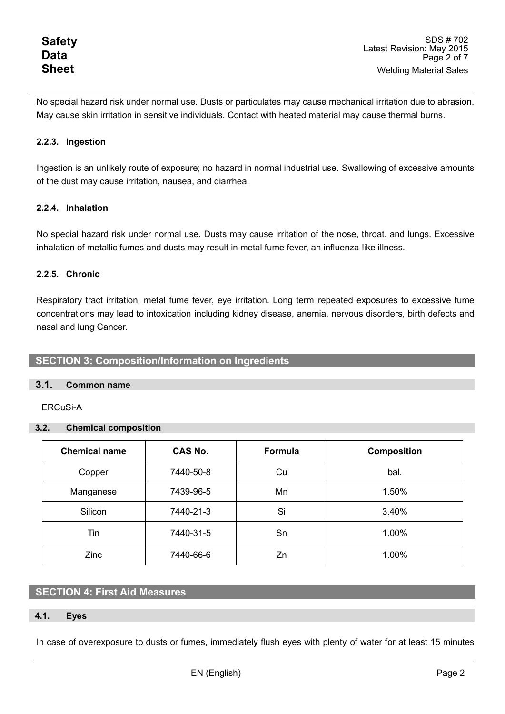No special hazard risk under normal use. Dusts or particulates may cause mechanical irritation due to abrasion. May cause skin irritation in sensitive individuals. Contact with heated material may cause thermal burns.

# **2.2.3. Ingestion**

Ingestion is an unlikely route of exposure; no hazard in normal industrial use. Swallowing of excessive amounts of the dust may cause irritation, nausea, and diarrhea.

## **2.2.4. Inhalation**

No special hazard risk under normal use. Dusts may cause irritation of the nose, throat, and lungs. Excessive inhalation of metallic fumes and dusts may result in metal fume fever, an influenza-like illness.

## **2.2.5. Chronic**

Respiratory tract irritation, metal fume fever, eye irritation. Long term repeated exposures to excessive fume concentrations may lead to intoxication including kidney disease, anemia, nervous disorders, birth defects and nasal and lung Cancer.

## **SECTION 3: Composition/Information on Ingredients**

## **3.1. Common name**

ERCuSi-A

### **3.2. Chemical composition**

| <b>Chemical name</b> | CAS No.   | <b>Formula</b> | <b>Composition</b> |
|----------------------|-----------|----------------|--------------------|
| Copper               | 7440-50-8 | Cu             | bal.               |
| Manganese            | 7439-96-5 | Mn             | 1.50%              |
| Silicon              | 7440-21-3 | Si             | 3.40%              |
| Tin                  | 7440-31-5 | Sn             | 1.00%              |
| Zinc                 | 7440-66-6 | Zn             | 1.00%              |

# **SECTION 4: First Aid Measures**

### **4.1. Eyes**

In case of overexposure to dusts or fumes, immediately flush eyes with plenty of water for at least 15 minutes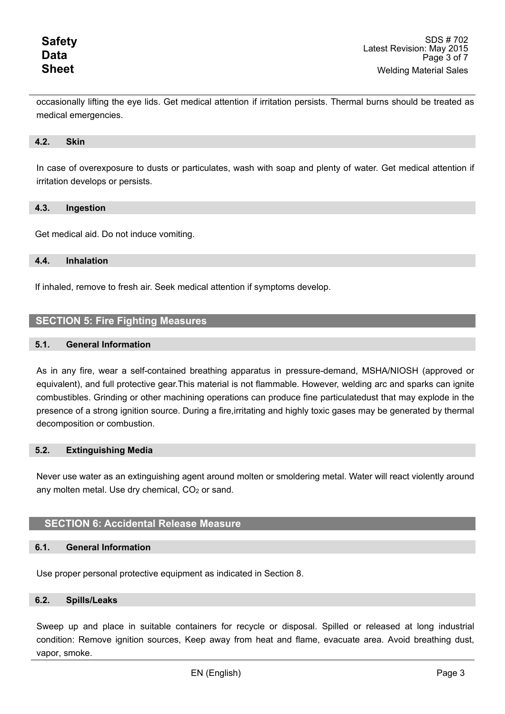occasionally lifting the eye lids. Get medical attention if irritation persists. Thermal burns should be treated as medical emergencies.

#### **4.2. Skin**

In case of overexposure to dusts or particulates, wash with soap and plenty of water. Get medical attention if irritation develops or persists.

#### **4.3. Ingestion**

Get medical aid. Do not induce vomiting.

#### **4.4. Inhalation**

If inhaled, remove to fresh air. Seek medical attention if symptoms develop.

## **SECTION 5: Fire Fighting Measures**

#### **5.1. General Information**

As in any fire, wear a self-contained breathing apparatus in pressure-demand, MSHA/NIOSH (approved or equivalent), and full protective gear.This material is not flammable. However, welding arc and sparks can ignite combustibles. Grinding or other machining operations can produce fine particulatedust that may explode in the presence of a strong ignition source. During a fire,irritating and highly toxic gases may be generated by thermal decomposition or combustion.

#### **5.2. Extinguishing Media**

Never use water as an extinguishing agent around molten or smoldering metal. Water will react violently around any molten metal. Use dry chemical, CO<sub>2</sub> or sand.

## **SECTION 6: Accidental Release Measure**

#### **6.1. General Information**

Use proper personal protective equipment as indicated in Section 8.

#### **6.2. Spills/Leaks**

Sweep up and place in suitable containers for recycle or disposal. Spilled or released at long industrial condition: Remove ignition sources, Keep away from heat and flame, evacuate area. Avoid breathing dust, vapor, smoke.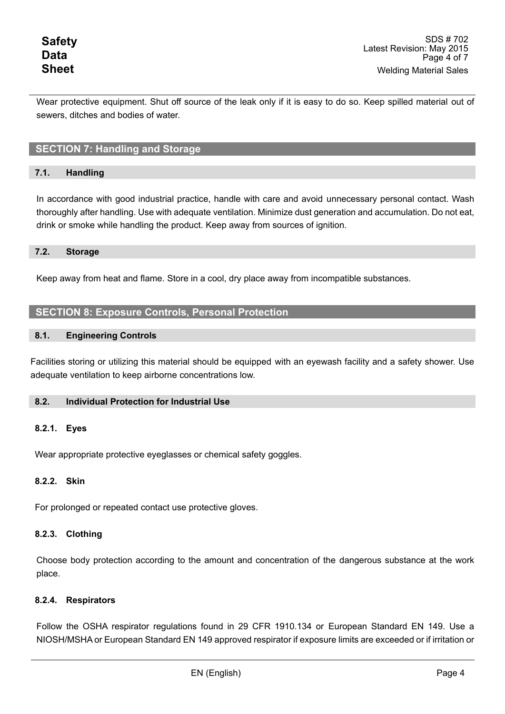Wear protective equipment. Shut off source of the leak only if it is easy to do so. Keep spilled material out of sewers, ditches and bodies of water.

# **SECTION 7: Handling and Storage**

## **7.1. Handling**

In accordance with good industrial practice, handle with care and avoid unnecessary personal contact. Wash thoroughly after handling. Use with adequate ventilation. Minimize dust generation and accumulation. Do not eat, drink or smoke while handling the product. Keep away from sources of ignition.

### **7.2. Storage**

Keep away from heat and flame. Store in a cool, dry place away from incompatible substances.

# **SECTION 8: Exposure Controls, Personal Protection**

### **8.1. Engineering Controls**

Facilities storing or utilizing this material should be equipped with an eyewash facility and a safety shower. Use adequate ventilation to keep airborne concentrations low.

### **8.2. Individual Protection for Industrial Use**

### **8.2.1. Eyes**

Wear appropriate protective eyeglasses or chemical safety goggles.

### **8.2.2. Skin**

For prolonged or repeated contact use protective gloves.

### **8.2.3. Clothing**

Choose body protection according to the amount and concentration of the dangerous substance at the work place.

## **8.2.4. Respirators**

Follow the OSHA respirator regulations found in 29 CFR 1910.134 or European Standard EN 149. Use a NIOSH/MSHA or European Standard EN 149 approved respirator if exposure limits are exceeded or if irritation or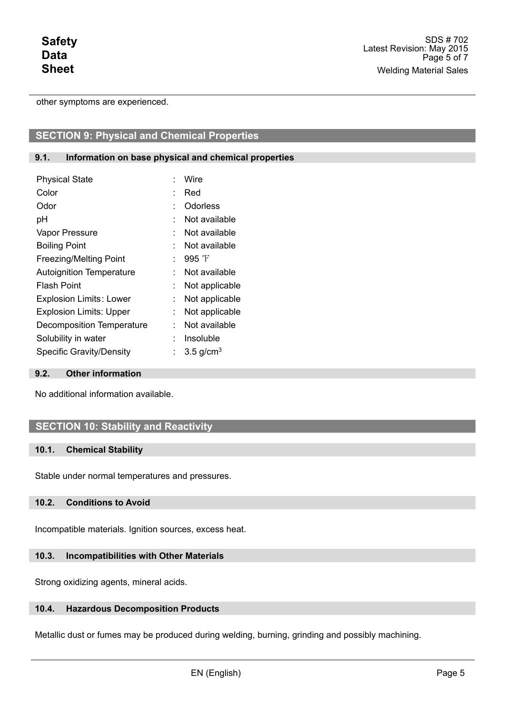other symptoms are experienced.

# **SECTION 9: Physical and Chemical Properties**

### **9.1. Information on base physical and chemical properties**

| <b>Physical State</b>           | Wire                    |
|---------------------------------|-------------------------|
| Color                           | Red                     |
| Odor                            | Odorless                |
| рH                              | Not available           |
| Vapor Pressure                  | Not available           |
| <b>Boiling Point</b>            | Not available           |
| <b>Freezing/Melting Point</b>   | 995 $\mathrm{F}$        |
| <b>Autoignition Temperature</b> | Not available           |
| <b>Flash Point</b>              | Not applicable          |
| <b>Explosion Limits: Lower</b>  | Not applicable          |
| <b>Explosion Limits: Upper</b>  | Not applicable          |
| Decomposition Temperature       | Not available           |
| Solubility in water             | Insoluble               |
| <b>Specific Gravity/Density</b> | $3.5$ g/cm <sup>3</sup> |

### **9.2. Other information**

No additional information available.

## **SECTION 10: Stability and Reactivity**

#### **10.1. Chemical Stability**

Stable under normal temperatures and pressures.

#### **10.2. Conditions to Avoid**

Incompatible materials. Ignition sources, excess heat.

## **10.3. Incompatibilities with Other Materials**

Strong oxidizing agents, mineral acids.

## **10.4. Hazardous Decomposition Products**

Metallic dust or fumes may be produced during welding, burning, grinding and possibly machining.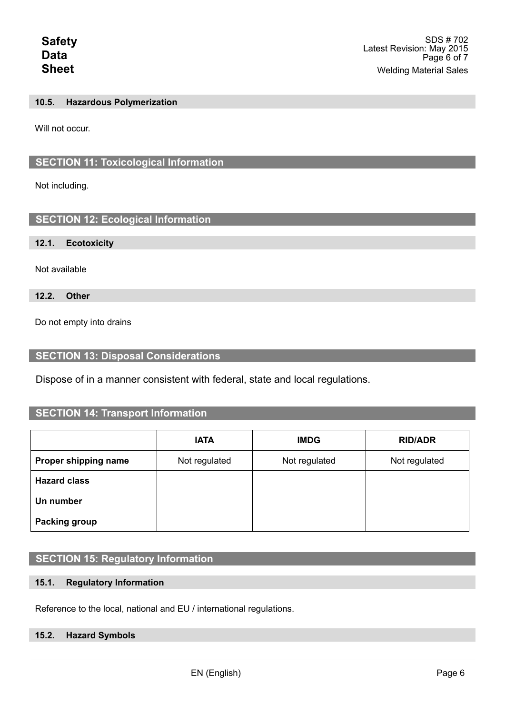### **10.5. Hazardous Polymerization**

Will not occur.

# **SECTION 11: Toxicological Information**

Not including.

# **SECTION 12: Ecological Information**

#### **12.1. Ecotoxicity**

Not available

**12.2. Other** 

Do not empty into drains

## **SECTION 13: Disposal Considerations**

Dispose of in a manner consistent with federal, state and local regulations.

# **SECTION 14: Transport Information**

|                      | <b>IATA</b>   | <b>IMDG</b>   | <b>RID/ADR</b> |
|----------------------|---------------|---------------|----------------|
| Proper shipping name | Not regulated | Not regulated | Not regulated  |
| <b>Hazard class</b>  |               |               |                |
| Un number            |               |               |                |
| <b>Packing group</b> |               |               |                |

# **SECTION 15: Regulatory Information**

## **15.1. Regulatory Information**

Reference to the local, national and EU / international regulations.

## **15.2. Hazard Symbols**